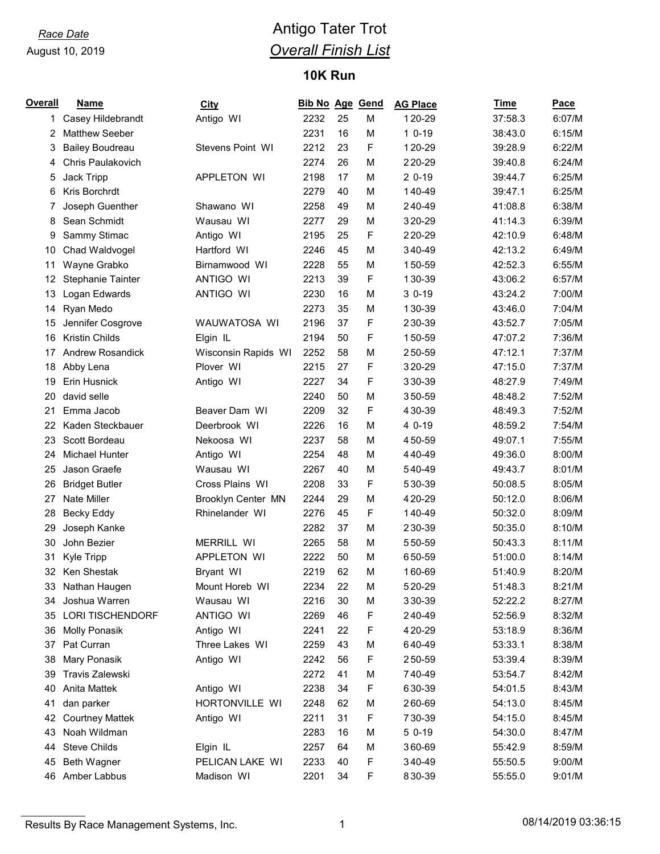# *Race Date* **Antigo Tater Trot** *Overall Finish List*

### **10K Run**

| Overall | <b>Name</b>              | <b>City</b>         | <b>Bib No Age Gend</b> |    |   | <b>AG Place</b> | Time    | Pace   |
|---------|--------------------------|---------------------|------------------------|----|---|-----------------|---------|--------|
| 1       | Casey Hildebrandt        | Antigo WI           | 2232                   | 25 | M | 120-29          | 37:58.3 | 6:07/M |
| 2       | <b>Matthew Seeber</b>    |                     | 2231                   | 16 | M | $10-19$         | 38:43.0 | 6:15/M |
| 3       | <b>Bailey Boudreau</b>   | Stevens Point WI    | 2212                   | 23 | F | 120-29          | 39:28.9 | 6:22/M |
| 4       | <b>Chris Paulakovich</b> |                     | 2274                   | 26 | M | 220-29          | 39:40.8 | 6:24/M |
| 5       | <b>Jack Tripp</b>        | APPLETON WI         | 2198                   | 17 | M | $20-19$         | 39:44.7 | 6:25/M |
| 6       | Kris Borchrdt            |                     | 2279                   | 40 | M | 140-49          | 39:47.1 | 6:25/M |
| 7       | Joseph Guenther          | Shawano WI          | 2258                   | 49 | M | 240-49          | 41:08.8 | 6:38/M |
| 8       | Sean Schmidt             | Wausau WI           | 2277                   | 29 | M | 320-29          | 41:14.3 | 6:39/M |
| 9       | Sammy Stimac             | Antigo WI           | 2195                   | 25 | F | 220-29          | 42:10.9 | 6:48/M |
| 10      | Chad Waldvogel           | Hartford WI         | 2246                   | 45 | M | 340-49          | 42:13.2 | 6:49/M |
| 11      | Wayne Grabko             | Birnamwood WI       | 2228                   | 55 | M | 150-59          | 42:52.3 | 6:55/M |
| 12      | <b>Stephanie Tainter</b> | <b>ANTIGO WI</b>    | 2213                   | 39 | F | 130-39          | 43:06.2 | 6:57/M |
| 13      | Logan Edwards            | ANTIGO WI           | 2230                   | 16 | M | $30-19$         | 43:24.2 | 7:00/M |
| 14      | Ryan Medo                |                     | 2273                   | 35 | М | 130-39          | 43:46.0 | 7:04/M |
| 15      | Jennifer Cosgrove        | WAUWATOSA WI        | 2196                   | 37 | F | 230-39          | 43:52.7 | 7:05/M |
| 16      | Kristin Childs           | Elgin IL            | 2194                   | 50 | F | 150-59          | 47:07.2 | 7:36/M |
| 17      | <b>Andrew Rosandick</b>  | Wisconsin Rapids WI | 2252                   | 58 | M | 250-59          | 47:12.1 | 7:37/M |
| 18      | Abby Lena                | Plover WI           | 2215                   | 27 | F | 320-29          | 47:15.0 | 7:37/M |
| 19      | Erin Husnick             | Antigo WI           | 2227                   | 34 | F | 330-39          | 48:27.9 | 7:49/M |
| 20      | david selle              |                     | 2240                   | 50 | M | 350-59          | 48:48.2 | 7:52/M |
| 21      | Emma Jacob               | Beaver Dam WI       | 2209                   | 32 | F | 430-39          | 48:49.3 | 7:52/M |
| 22      | Kaden Steckbauer         | Deerbrook WI        | 2226                   | 16 | M | 4 0-19          | 48:59.2 | 7:54/M |
| 23      | Scott Bordeau            | Nekoosa WI          | 2237                   | 58 | M | 450-59          | 49:07.1 | 7:55/M |
| 24      | <b>Michael Hunter</b>    | Antigo WI           | 2254                   | 48 | M | 440-49          | 49:36.0 | 8:00/M |
| 25      | Jason Graefe             | Wausau WI           | 2267                   | 40 | M | 540-49          | 49:43.7 | 8:01/M |
| 26      | <b>Bridget Butler</b>    | Cross Plains WI     | 2208                   | 33 | F | 530-39          | 50:08.5 | 8:05/M |
| 27      | <b>Nate Miller</b>       | Brooklyn Center MN  | 2244                   | 29 | M | 420-29          | 50:12.0 | 8:06/M |
| 28      | <b>Becky Eddy</b>        | Rhinelander WI      | 2276                   | 45 | F | 140-49          | 50:32.0 | 8:09/M |
| 29      | Joseph Kanke             |                     | 2282                   | 37 | M | 230-39          | 50:35.0 | 8:10/M |
| 30      | John Bezier              | <b>MERRILL WI</b>   | 2265                   | 58 | M | 550-59          | 50:43.3 | 8:11/M |
| 31      | Kyle Tripp               | APPLETON WI         | 2222                   | 50 | M | 650-59          | 51:00.0 | 8:14/M |
| 32      | Ken Shestak              | Bryant WI           | 2219                   | 62 | М | 160-69          | 51:40.9 | 8:20/M |
| 33      | Nathan Haugen            | Mount Horeb WI      | 2234                   | 22 | M | 520-29          | 51:48.3 | 8:21/M |
| 34      | Joshua Warren            | Wausau WI           | 2216                   | 30 | M | 330-39          | 52:22.2 | 8:27/M |
| 35      | <b>LORI TISCHENDORF</b>  | ANTIGO WI           | 2269                   | 46 | F | 240-49          | 52:56.9 | 8:32/M |
| 36      | <b>Molly Ponasik</b>     | Antigo WI           | 2241                   | 22 | F | 420-29          | 53:18.9 | 8:36/M |
| 37      | Pat Curran               | Three Lakes WI      | 2259                   | 43 | М | 640-49          | 53:33.1 | 8:38/M |
| 38      | Mary Ponasik             | Antigo WI           | 2242                   | 56 | F | 250-59          | 53:39.4 | 8:39/M |
| 39      | Travis Zalewski          |                     | 2272                   | 41 | M | 740-49          | 53:54.7 | 8:42/M |
| 40      | <b>Anita Mattek</b>      | Antigo WI           | 2238                   | 34 | F | 630-39          | 54:01.5 | 8:43/M |
| 41      | dan parker               | HORTONVILLE WI      | 2248                   | 62 | М | 260-69          | 54:13.0 | 8:45/M |
| 42      | <b>Courtney Mattek</b>   | Antigo WI           | 2211                   | 31 | F | 730-39          | 54:15.0 | 8:45/M |
| 43      | Noah Wildman             |                     | 2283                   | 16 | М | 5 0-19          | 54:30.0 | 8:47/M |
| 44      | <b>Steve Childs</b>      | Elgin IL            | 2257                   | 64 | M | 360-69          | 55:42.9 | 8:59/M |
| 45      | Beth Wagner              | PELICAN LAKE WI     | 2233                   | 40 | F | 340-49          | 55:50.5 | 9:00/M |
|         | 46 Amber Labbus          | Madison WI          | 2201                   | 34 | F | 830-39          | 55:55.0 | 9:01/M |

Results By Race Management Systems, Inc. 1 08/14/2019 03:36:15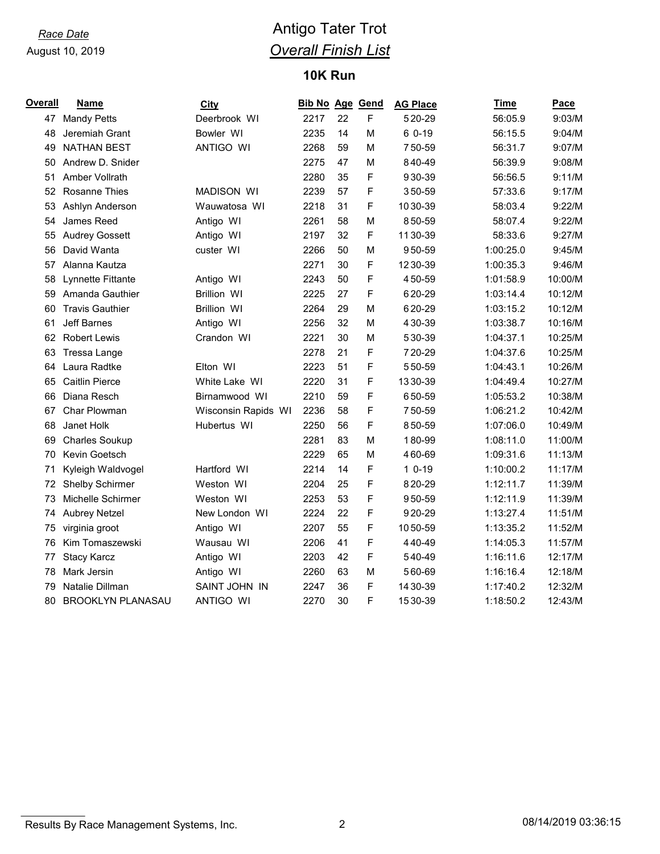# *Race Date* **Antigo Tater Trot** *Overall Finish List*

### **10K Run**

| <b>Overall</b> | <b>Name</b>              | <b>City</b>         | <b>Bib No Age Gend</b> |    |   | <b>AG Place</b> | Time      | <b>Pace</b> |
|----------------|--------------------------|---------------------|------------------------|----|---|-----------------|-----------|-------------|
| 47             | <b>Mandy Petts</b>       | Deerbrook WI        | 2217                   | 22 | F | 520-29          | 56:05.9   | 9:03/M      |
| 48             | Jeremiah Grant           | Bowler WI           | 2235                   | 14 | M | 6 0-19          | 56:15.5   | 9:04/M      |
| 49             | <b>NATHAN BEST</b>       | <b>ANTIGO WI</b>    | 2268                   | 59 | М | 750-59          | 56:31.7   | 9:07/M      |
| 50             | Andrew D. Snider         |                     | 2275                   | 47 | M | 840-49          | 56:39.9   | 9:08/M      |
| 51             | Amber Vollrath           |                     | 2280                   | 35 | F | 930-39          | 56:56.5   | 9:11/M      |
| 52             | <b>Rosanne Thies</b>     | <b>MADISON WI</b>   | 2239                   | 57 | F | 350-59          | 57:33.6   | 9:17/M      |
| 53             | Ashlyn Anderson          | Wauwatosa WI        | 2218                   | 31 | F | 1030-39         | 58:03.4   | 9:22/M      |
| 54             | James Reed               | Antigo WI           | 2261                   | 58 | M | 850-59          | 58:07.4   | 9:22/M      |
| 55             | <b>Audrey Gossett</b>    | Antigo WI           | 2197                   | 32 | F | 1130-39         | 58:33.6   | 9:27/M      |
| 56             | David Wanta              | custer WI           | 2266                   | 50 | M | 950-59          | 1:00:25.0 | 9:45/M      |
| 57             | Alanna Kautza            |                     | 2271                   | 30 | F | 1230-39         | 1:00:35.3 | 9:46/M      |
| 58             | Lynnette Fittante        | Antigo WI           | 2243                   | 50 | F | 450-59          | 1:01:58.9 | 10:00/M     |
| 59             | Amanda Gauthier          | <b>Brillion WI</b>  | 2225                   | 27 | F | 620-29          | 1:03:14.4 | 10:12/M     |
| 60             | <b>Travis Gauthier</b>   | <b>Brillion WI</b>  | 2264                   | 29 | M | 620-29          | 1:03:15.2 | 10:12/M     |
| 61             | <b>Jeff Barnes</b>       | Antigo WI           | 2256                   | 32 | М | 4 30 - 39       | 1:03:38.7 | 10:16/M     |
| 62             | <b>Robert Lewis</b>      | Crandon WI          | 2221                   | 30 | M | 530-39          | 1:04:37.1 | 10:25/M     |
| 63             | Tressa Lange             |                     | 2278                   | 21 | F | 720-29          | 1:04:37.6 | 10:25/M     |
| 64             | Laura Radtke             | Elton WI            | 2223                   | 51 | F | 550-59          | 1:04:43.1 | 10:26/M     |
| 65             | <b>Caitlin Pierce</b>    | White Lake WI       | 2220                   | 31 | F | 1330-39         | 1:04:49.4 | 10:27/M     |
| 66             | Diana Resch              | Birnamwood WI       | 2210                   | 59 | F | 650-59          | 1:05:53.2 | 10:38/M     |
| 67             | Char Plowman             | Wisconsin Rapids WI | 2236                   | 58 | F | 750-59          | 1:06:21.2 | 10:42/M     |
| 68             | Janet Holk               | Hubertus WI         | 2250                   | 56 | F | 850-59          | 1:07:06.0 | 10:49/M     |
| 69             | <b>Charles Soukup</b>    |                     | 2281                   | 83 | M | 180-99          | 1:08:11.0 | 11:00/M     |
| 70             | Kevin Goetsch            |                     | 2229                   | 65 | M | 460-69          | 1:09:31.6 | 11:13/M     |
| 71             | Kyleigh Waldvogel        | Hartford WI         | 2214                   | 14 | F | $10-19$         | 1:10:00.2 | 11:17/M     |
| 72             | Shelby Schirmer          | Weston WI           | 2204                   | 25 | F | 820-29          | 1:12:11.7 | 11:39/M     |
| 73             | Michelle Schirmer        | Weston WI           | 2253                   | 53 | F | 950-59          | 1:12:11.9 | 11:39/M     |
| 74             | <b>Aubrey Netzel</b>     | New London WI       | 2224                   | 22 | F | 920-29          | 1:13:27.4 | 11:51/M     |
| 75             | virginia groot           | Antigo WI           | 2207                   | 55 | F | 1050-59         | 1:13:35.2 | 11:52/M     |
| 76             | Kim Tomaszewski          | Wausau WI           | 2206                   | 41 | F | 440-49          | 1:14:05.3 | 11:57/M     |
| 77             | <b>Stacy Karcz</b>       | Antigo WI           | 2203                   | 42 | F | 540-49          | 1:16:11.6 | 12:17/M     |
| 78             | Mark Jersin              | Antigo WI           | 2260                   | 63 | M | 560-69          | 1:16:16.4 | 12:18/M     |
| 79             | Natalie Dillman          | SAINT JOHN IN       | 2247                   | 36 | F | 14 30-39        | 1:17:40.2 | 12:32/M     |
| 80             | <b>BROOKLYN PLANASAU</b> | <b>ANTIGO WI</b>    | 2270                   | 30 | F | 1530-39         | 1:18:50.2 | 12:43/M     |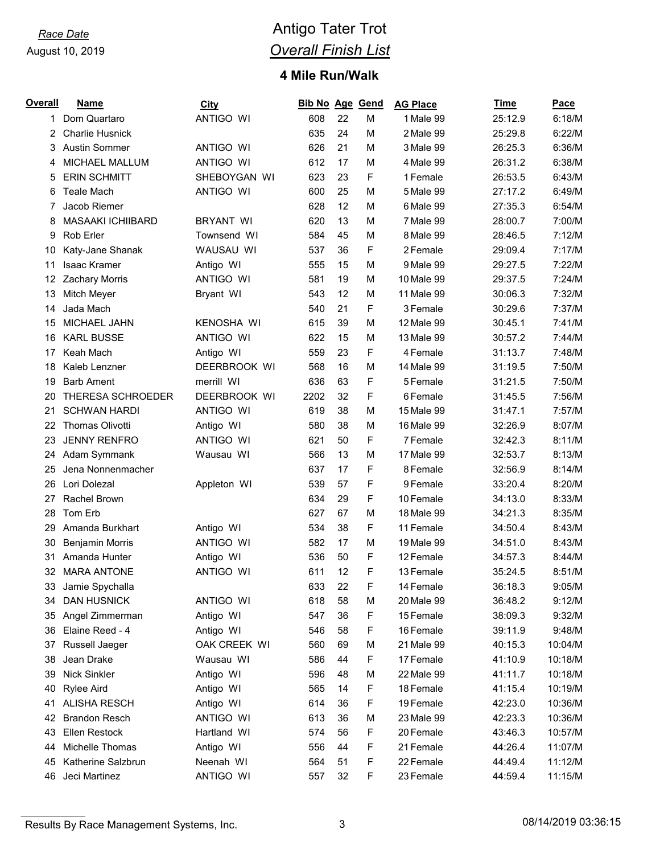# *Race Date* **Antigo Tater Trot** *Overall Finish List*

## **Mile Run/Walk**

| Overall | <b>Name</b>              | <b>City</b>       | <b>Bib No Age Gend</b> |    |   | <b>AG Place</b> | Time    | <b>Pace</b> |
|---------|--------------------------|-------------------|------------------------|----|---|-----------------|---------|-------------|
| 1       | Dom Quartaro             | ANTIGO WI         | 608                    | 22 | M | 1 Male 99       | 25:12.9 | 6:18/M      |
| 2       | <b>Charlie Husnick</b>   |                   | 635                    | 24 | M | 2 Male 99       | 25:29.8 | 6:22/M      |
| 3       | <b>Austin Sommer</b>     | <b>ANTIGO WI</b>  | 626                    | 21 | M | 3 Male 99       | 26:25.3 | 6:36/M      |
| 4       | MICHAEL MALLUM           | <b>ANTIGO WI</b>  | 612                    | 17 | M | 4 Male 99       | 26:31.2 | 6:38/M      |
| 5       | <b>ERIN SCHMITT</b>      | SHEBOYGAN WI      | 623                    | 23 | F | 1 Female        | 26:53.5 | 6:43/M      |
| 6       | <b>Teale Mach</b>        | <b>ANTIGO WI</b>  | 600                    | 25 | M | 5 Male 99       | 27:17.2 | 6:49/M      |
| 7       | Jacob Riemer             |                   | 628                    | 12 | M | 6 Male 99       | 27:35.3 | 6:54/M      |
| 8       | <b>MASAAKI ICHIIBARD</b> | <b>BRYANT WI</b>  | 620                    | 13 | M | 7 Male 99       | 28:00.7 | 7:00/M      |
| 9       | Rob Erler                | Townsend WI       | 584                    | 45 | M | 8 Male 99       | 28:46.5 | 7:12/M      |
| 10      | Katy-Jane Shanak         | WAUSAU WI         | 537                    | 36 | F | 2 Female        | 29:09.4 | 7:17/M      |
| 11      | Isaac Kramer             | Antigo WI         | 555                    | 15 | M | 9 Male 99       | 29:27.5 | 7:22/M      |
| 12      | <b>Zachary Morris</b>    | ANTIGO WI         | 581                    | 19 | M | 10 Male 99      | 29:37.5 | 7:24/M      |
| 13      | Mitch Meyer              | Bryant WI         | 543                    | 12 | M | 11 Male 99      | 30:06.3 | 7:32/M      |
| 14      | Jada Mach                |                   | 540                    | 21 | F | 3 Female        | 30:29.6 | 7:37/M      |
| 15      | <b>MICHAEL JAHN</b>      | <b>KENOSHA WI</b> | 615                    | 39 | M | 12 Male 99      | 30:45.1 | 7:41/M      |
| 16      | <b>KARL BUSSE</b>        | <b>ANTIGO WI</b>  | 622                    | 15 | M | 13 Male 99      | 30:57.2 | 7:44/M      |
| 17      | Keah Mach                | Antigo WI         | 559                    | 23 | F | 4 Female        | 31:13.7 | 7:48/M      |
| 18      | Kaleb Lenzner            | DEERBROOK WI      | 568                    | 16 | M | 14 Male 99      | 31:19.5 | 7:50/M      |
| 19      | <b>Barb Ament</b>        | merrill WI        | 636                    | 63 | F | 5 Female        | 31:21.5 | 7:50/M      |
| 20      | THERESA SCHROEDER        | DEERBROOK WI      | 2202                   | 32 | F | 6 Female        | 31:45.5 | 7:56/M      |
| 21      | <b>SCHWAN HARDI</b>      | <b>ANTIGO WI</b>  | 619                    | 38 | M | 15 Male 99      | 31:47.1 | 7:57/M      |
| 22      | <b>Thomas Olivotti</b>   | Antigo WI         | 580                    | 38 | M | 16 Male 99      | 32:26.9 | 8:07/M      |
| 23      | <b>JENNY RENFRO</b>      | <b>ANTIGO WI</b>  | 621                    | 50 | F | 7 Female        | 32:42.3 | 8:11/M      |
| 24      | Adam Symmank             | Wausau WI         | 566                    | 13 | M | 17 Male 99      | 32:53.7 | 8:13/M      |
| 25      | Jena Nonnenmacher        |                   | 637                    | 17 | F | 8 Female        | 32:56.9 | 8:14/M      |
| 26      | Lori Dolezal             | Appleton WI       | 539                    | 57 | F | 9 Female        | 33:20.4 | 8:20/M      |
| 27      | Rachel Brown             |                   | 634                    | 29 | F | 10 Female       | 34:13.0 | 8:33/M      |
| 28      | Tom Erb                  |                   | 627                    | 67 | M | 18 Male 99      | 34:21.3 | 8:35/M      |
| 29      | Amanda Burkhart          | Antigo WI         | 534                    | 38 | F | 11 Female       | 34:50.4 | 8:43/M      |
| 30      | <b>Benjamin Morris</b>   | ANTIGO WI         | 582                    | 17 | M | 19 Male 99      | 34:51.0 | 8:43/M      |
| 31      | Amanda Hunter            | Antigo WI         | 536                    | 50 | F | 12 Female       | 34:57.3 | 8:44/M      |
| 32      | <b>MARA ANTONE</b>       | ANTIGO WI         | 611                    | 12 | F | 13 Female       | 35:24.5 | 8:51/M      |
| 33      | Jamie Spychalla          |                   | 633                    | 22 | F | 14 Female       | 36:18.3 | 9:05/M      |
| 34      | <b>DAN HUSNICK</b>       | <b>ANTIGO WI</b>  | 618                    | 58 | М | 20 Male 99      | 36:48.2 | 9:12/M      |
| 35      | Angel Zimmerman          | Antigo WI         | 547                    | 36 | F | 15 Female       | 38:09.3 | 9:32/M      |
| 36      | Elaine Reed - 4          | Antigo WI         | 546                    | 58 | F | 16 Female       | 39:11.9 | 9:48/M      |
| 37      | Russell Jaeger           | OAK CREEK WI      | 560                    | 69 | М | 21 Male 99      | 40:15.3 | 10:04/M     |
| 38      | Jean Drake               | Wausau WI         | 586                    | 44 | F | 17 Female       | 41:10.9 | 10:18/M     |
| 39      | Nick Sinkler             | Antigo WI         | 596                    | 48 | М | 22 Male 99      | 41:11.7 | 10:18/M     |
| 40      | <b>Rylee Aird</b>        | Antigo WI         | 565                    | 14 | F | 18 Female       | 41:15.4 | 10:19/M     |
| 41      | <b>ALISHA RESCH</b>      | Antigo WI         | 614                    | 36 | F | 19 Female       | 42:23.0 | 10:36/M     |
| 42      | <b>Brandon Resch</b>     | ANTIGO WI         | 613                    | 36 | М | 23 Male 99      | 42:23.3 | 10:36/M     |
| 43      | Ellen Restock            | Hartland WI       | 574                    | 56 | F | 20 Female       | 43:46.3 | 10:57/M     |
| 44      | Michelle Thomas          | Antigo WI         | 556                    | 44 | F | 21 Female       | 44:26.4 | 11:07/M     |
| 45      | Katherine Salzbrun       | Neenah WI         | 564                    | 51 | F | 22 Female       | 44:49.4 | 11:12/M     |
| 46      | Jeci Martinez            | ANTIGO WI         | 557                    | 32 | F | 23 Female       | 44:59.4 | 11:15/M     |

Results By Race Management Systems, Inc. 2008 3 2009 108/14/2019 03:36:15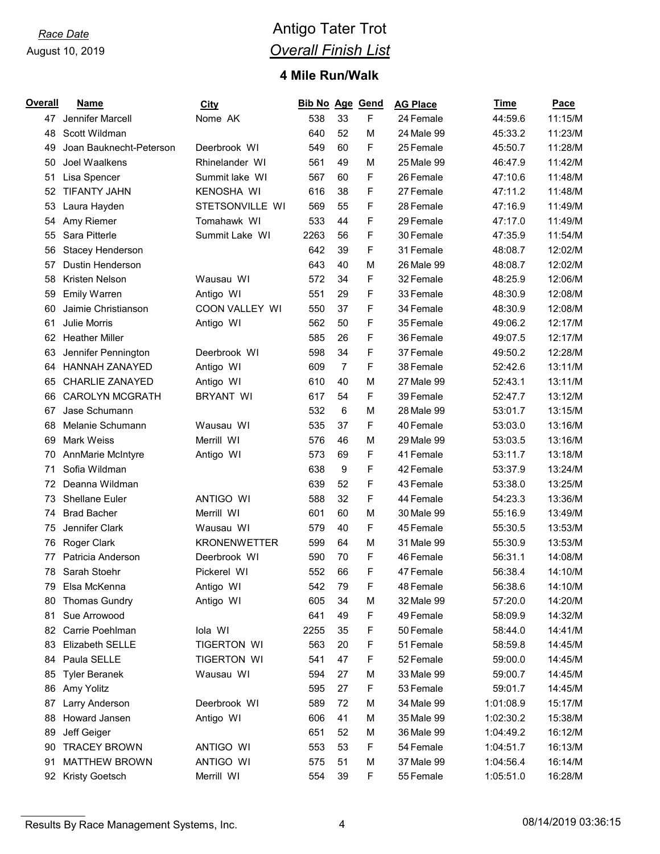# *Race Date* **Antigo Tater Trot** *Overall Finish List*

## **Mile Run/Walk**

| <b>Overall</b> | <b>Name</b>             | <b>City</b>         | <b>Bib No Age Gend</b> |                |   | <b>AG Place</b> | Time      | Pace    |
|----------------|-------------------------|---------------------|------------------------|----------------|---|-----------------|-----------|---------|
| 47             | Jennifer Marcell        | Nome AK             | 538                    | 33             | F | 24 Female       | 44:59.6   | 11:15/M |
| 48             | Scott Wildman           |                     | 640                    | 52             | M | 24 Male 99      | 45:33.2   | 11:23/M |
| 49             | Joan Bauknecht-Peterson | Deerbrook WI        | 549                    | 60             | F | 25 Female       | 45:50.7   | 11:28/M |
| 50             | Joel Waalkens           | Rhinelander WI      | 561                    | 49             | M | 25 Male 99      | 46:47.9   | 11:42/M |
| 51             | Lisa Spencer            | Summit lake WI      | 567                    | 60             | F | 26 Female       | 47:10.6   | 11:48/M |
| 52             | <b>TIFANTY JAHN</b>     | <b>KENOSHA WI</b>   | 616                    | 38             | F | 27 Female       | 47:11.2   | 11:48/M |
| 53             | Laura Hayden            | STETSONVILLE WI     | 569                    | 55             | F | 28 Female       | 47:16.9   | 11:49/M |
| 54             | Amy Riemer              | Tomahawk WI         | 533                    | 44             | F | 29 Female       | 47:17.0   | 11:49/M |
| 55             | Sara Pitterle           | Summit Lake WI      | 2263                   | 56             | F | 30 Female       | 47:35.9   | 11:54/M |
| 56             | Stacey Henderson        |                     | 642                    | 39             | F | 31 Female       | 48:08.7   | 12:02/M |
| 57             | Dustin Henderson        |                     | 643                    | 40             | M | 26 Male 99      | 48:08.7   | 12:02/M |
| 58             | Kristen Nelson          | Wausau WI           | 572                    | 34             | F | 32 Female       | 48:25.9   | 12:06/M |
| 59             | <b>Emily Warren</b>     | Antigo WI           | 551                    | 29             | F | 33 Female       | 48:30.9   | 12:08/M |
| 60             | Jaimie Christianson     | COON VALLEY WI      | 550                    | 37             | F | 34 Female       | 48:30.9   | 12:08/M |
| 61             | <b>Julie Morris</b>     | Antigo WI           | 562                    | 50             | F | 35 Female       | 49:06.2   | 12:17/M |
| 62             | <b>Heather Miller</b>   |                     | 585                    | 26             | F | 36 Female       | 49:07.5   | 12:17/M |
| 63             | Jennifer Pennington     | Deerbrook WI        | 598                    | 34             | F | 37 Female       | 49:50.2   | 12:28/M |
| 64             | <b>HANNAH ZANAYED</b>   | Antigo WI           | 609                    | $\overline{7}$ | F | 38 Female       | 52:42.6   | 13:11/M |
| 65             | <b>CHARLIE ZANAYED</b>  | Antigo WI           | 610                    | 40             | M | 27 Male 99      | 52:43.1   | 13:11/M |
| 66             | <b>CAROLYN MCGRATH</b>  | <b>BRYANT WI</b>    | 617                    | 54             | F | 39 Female       | 52:47.7   | 13:12/M |
| 67             | Jase Schumann           |                     | 532                    | 6              | M | 28 Male 99      | 53:01.7   | 13:15/M |
| 68             | Melanie Schumann        | Wausau WI           | 535                    | 37             | F | 40 Female       | 53:03.0   | 13:16/M |
| 69             | <b>Mark Weiss</b>       | Merrill WI          | 576                    | 46             | M | 29 Male 99      | 53:03.5   | 13:16/M |
| 70             | AnnMarie McIntyre       | Antigo WI           | 573                    | 69             | F | 41 Female       | 53:11.7   | 13:18/M |
| 71             | Sofia Wildman           |                     | 638                    | 9              | F | 42 Female       | 53:37.9   | 13:24/M |
| 72             | Deanna Wildman          |                     | 639                    | 52             | F | 43 Female       | 53:38.0   | 13:25/M |
| 73             | <b>Shellane Euler</b>   | <b>ANTIGO WI</b>    | 588                    | 32             | F | 44 Female       | 54:23.3   | 13:36/M |
| 74             | <b>Brad Bacher</b>      | Merrill WI          | 601                    | 60             | M | 30 Male 99      | 55:16.9   | 13:49/M |
| 75             | Jennifer Clark          | Wausau WI           | 579                    | 40             | F | 45 Female       | 55:30.5   | 13:53/M |
| 76             | Roger Clark             | <b>KRONENWETTER</b> | 599                    | 64             | M | 31 Male 99      | 55:30.9   | 13:53/M |
| 77             | Patricia Anderson       | Deerbrook WI        | 590                    | 70             | F | 46 Female       | 56:31.1   | 14:08/M |
| 78             | Sarah Stoehr            | Pickerel WI         | 552                    | 66             | F | 47 Female       | 56:38.4   | 14:10/M |
| 79             | Elsa McKenna            | Antigo WI           | 542                    | 79             | F | 48 Female       | 56:38.6   | 14:10/M |
| 80             | <b>Thomas Gundry</b>    | Antigo WI           | 605                    | 34             | M | 32 Male 99      | 57:20.0   | 14:20/M |
| 81             | Sue Arrowood            |                     | 641                    | 49             | F | 49 Female       | 58:09.9   | 14:32/M |
| 82             | Carrie Poehlman         | lola WI             | 2255                   | 35             | F | 50 Female       | 58:44.0   | 14:41/M |
| 83             | Elizabeth SELLE         | <b>TIGERTON WI</b>  | 563                    | 20             | F | 51 Female       | 58:59.8   | 14:45/M |
| 84             | Paula SELLE             | TIGERTON WI         | 541                    | 47             | F | 52 Female       | 59:00.0   | 14:45/M |
| 85             | <b>Tyler Beranek</b>    | Wausau WI           | 594                    | 27             | M | 33 Male 99      | 59:00.7   | 14:45/M |
| 86             | Amy Yolitz              |                     | 595                    | 27             | F | 53 Female       | 59:01.7   | 14:45/M |
| 87             | Larry Anderson          | Deerbrook WI        | 589                    | 72             | M | 34 Male 99      | 1:01:08.9 | 15:17/M |
| 88             | Howard Jansen           | Antigo WI           | 606                    | 41             | M | 35 Male 99      | 1:02:30.2 | 15:38/M |
| 89             | Jeff Geiger             |                     | 651                    | 52             | M | 36 Male 99      | 1:04:49.2 | 16:12/M |
| 90             | <b>TRACEY BROWN</b>     | ANTIGO WI           | 553                    | 53             | F | 54 Female       | 1:04:51.7 | 16:13/M |
| 91             | <b>MATTHEW BROWN</b>    | ANTIGO WI           | 575                    | 51             | M | 37 Male 99      | 1:04:56.4 | 16:14/M |
|                | 92 Kristy Goetsch       | Merrill WI          | 554                    | 39             | F | 55 Female       | 1:05:51.0 | 16:28/M |

Results By Race Management Systems, Inc. 4 08/14/2019 03:36:15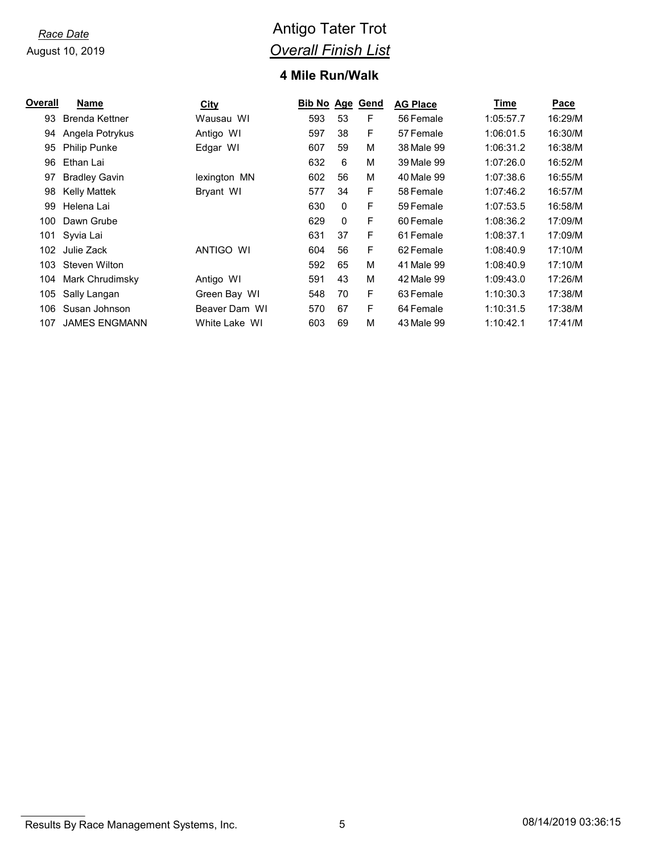# *Race Date* **Antigo Tater Trot** *Overall Finish List*

## **Mile Run/Walk**

| Overall | Name                  | <b>City</b>   | Bib No Age |    | Gend | <b>AG Place</b> | Time      | <b>Pace</b> |
|---------|-----------------------|---------------|------------|----|------|-----------------|-----------|-------------|
| 93      | <b>Brenda Kettner</b> | Wausau WI     | 593        | 53 | F    | 56 Female       | 1:05:57.7 | 16:29/M     |
| 94      | Angela Potrykus       | Antigo WI     | 597        | 38 | F    | 57 Female       | 1:06:01.5 | 16:30/M     |
| 95      | <b>Philip Punke</b>   | Edgar WI      | 607        | 59 | M    | 38 Male 99      | 1:06:31.2 | 16:38/M     |
| 96      | Ethan Lai             |               | 632        | 6  | M    | 39 Male 99      | 1:07:26.0 | 16:52/M     |
| 97      | <b>Bradley Gavin</b>  | lexington MN  | 602        | 56 | М    | 40 Male 99      | 1:07:38.6 | 16:55/M     |
| 98      | Kelly Mattek          | Bryant WI     | 577        | 34 | F    | 58 Female       | 1:07:46.2 | 16:57/M     |
| 99      | Helena Lai            |               | 630        | 0  | F    | 59 Female       | 1:07:53.5 | 16:58/M     |
| 100     | Dawn Grube            |               | 629        | 0  | F    | 60 Female       | 1:08:36.2 | 17:09/M     |
| 101     | Syvia Lai             |               | 631        | 37 | F    | 61 Female       | 1:08:37.1 | 17:09/M     |
| 102     | Julie Zack            | ANTIGO WI     | 604        | 56 | F    | 62 Female       | 1:08:40.9 | 17:10/M     |
| 103     | Steven Wilton         |               | 592        | 65 | М    | 41 Male 99      | 1:08:40.9 | 17:10/M     |
| 104     | Mark Chrudimsky       | Antigo WI     | 591        | 43 | M    | 42 Male 99      | 1:09:43.0 | 17:26/M     |
| 105     | Sally Langan          | Green Bay WI  | 548        | 70 | F    | 63 Female       | 1:10:30.3 | 17:38/M     |
| 106     | Susan Johnson         | Beaver Dam WI | 570        | 67 | F.   | 64 Female       | 1:10:31.5 | 17:38/M     |
| 107     | <b>JAMES ENGMANN</b>  | White Lake WI | 603        | 69 | М    | 43 Male 99      | 1:10:42.1 | 17:41/M     |
|         |                       |               |            |    |      |                 |           |             |

**Results By Race Management Systems, Inc.** 6 08/14/2019 03:36:15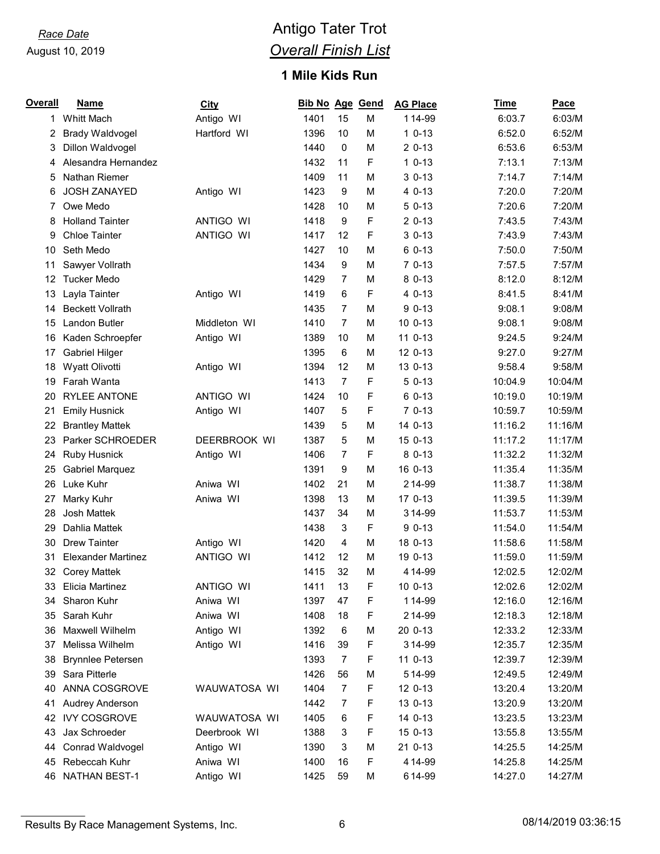# *Race Date* **Antigo Tater Trot** *Overall Finish List*

## **Mile Kids Run**

| Overall | <b>Name</b>               | <b>City</b>      | Bib No Age Gend |                |   | <b>AG Place</b> | Time    | Pace    |
|---------|---------------------------|------------------|-----------------|----------------|---|-----------------|---------|---------|
| 1       | Whitt Mach                | Antigo WI        | 1401            | 15             | M | 114-99          | 6:03.7  | 6:03/M  |
| 2       | <b>Brady Waldvogel</b>    | Hartford WI      | 1396            | 10             | M | $10-13$         | 6:52.0  | 6:52/M  |
| 3       | Dillon Waldvogel          |                  | 1440            | 0              | M | $20-13$         | 6:53.6  | 6:53/M  |
| 4       | Alesandra Hernandez       |                  | 1432            | 11             | F | $10-13$         | 7:13.1  | 7:13/M  |
| 5       | Nathan Riemer             |                  | 1409            | 11             | M | $30-13$         | 7:14.7  | 7:14/M  |
| 6       | <b>JOSH ZANAYED</b>       | Antigo WI        | 1423            | 9              | M | 4 0-13          | 7:20.0  | 7:20/M  |
| 7       | Owe Medo                  |                  | 1428            | 10             | M | $50-13$         | 7:20.6  | 7:20/M  |
| 8       | <b>Holland Tainter</b>    | <b>ANTIGO WI</b> | 1418            | 9              | F | $20-13$         | 7:43.5  | 7:43/M  |
| 9       | <b>Chloe Tainter</b>      | ANTIGO WI        | 1417            | 12             | F | $30-13$         | 7:43.9  | 7:43/M  |
| 10      | Seth Medo                 |                  | 1427            | 10             | M | 6 0-13          | 7:50.0  | 7:50/M  |
| 11      | Sawyer Vollrath           |                  | 1434            | 9              | M | $70-13$         | 7:57.5  | 7:57/M  |
| 12      | <b>Tucker Medo</b>        |                  | 1429            | $\overline{7}$ | M | 8 0-13          | 8:12.0  | 8:12/M  |
| 13      | Layla Tainter             | Antigo WI        | 1419            | 6              | F | 4 0-13          | 8:41.5  | 8:41/M  |
| 14      | <b>Beckett Vollrath</b>   |                  | 1435            | 7              | M | $90-13$         | 9:08.1  | 9:08/M  |
| 15      | Landon Butler             | Middleton WI     | 1410            | $\overline{7}$ | M | 10 0-13         | 9:08.1  | 9:08/M  |
| 16      | Kaden Schroepfer          | Antigo WI        | 1389            | 10             | M | 11 0-13         | 9:24.5  | 9:24/M  |
| 17      | <b>Gabriel Hilger</b>     |                  | 1395            | 6              | M | 12 0-13         | 9:27.0  | 9:27/M  |
| 18      | Wyatt Olivotti            | Antigo WI        | 1394            | 12             | M | 13 0-13         | 9:58.4  | 9:58/M  |
| 19      | Farah Wanta               |                  | 1413            | $\overline{7}$ | F | $50-13$         | 10:04.9 | 10:04/M |
| 20      | <b>RYLEE ANTONE</b>       | <b>ANTIGO WI</b> | 1424            | 10             | F | 6 0-13          | 10:19.0 | 10:19/M |
| 21      | <b>Emily Husnick</b>      | Antigo WI        | 1407            | 5              | F | $70-13$         | 10:59.7 | 10:59/M |
| 22      | <b>Brantley Mattek</b>    |                  | 1439            | 5              | M | 14 0-13         | 11:16.2 | 11:16/M |
| 23      | Parker SCHROEDER          | DEERBROOK WI     | 1387            | 5              | M | 15 0-13         | 11:17.2 | 11:17/M |
| 24      | <b>Ruby Husnick</b>       | Antigo WI        | 1406            | $\overline{7}$ | F | 8 0-13          | 11:32.2 | 11:32/M |
| 25      | <b>Gabriel Marquez</b>    |                  | 1391            | 9              | M | 16 0-13         | 11:35.4 | 11:35/M |
| 26      | Luke Kuhr                 | Aniwa WI         | 1402            | 21             | M | 214-99          | 11:38.7 | 11:38/M |
| 27      | Marky Kuhr                | Aniwa WI         | 1398            | 13             | M | 17 0-13         | 11:39.5 | 11:39/M |
| 28      | Josh Mattek               |                  | 1437            | 34             | M | 314-99          | 11:53.7 | 11:53/M |
| 29      | Dahlia Mattek             |                  | 1438            | 3              | F | $90-13$         | 11:54.0 | 11:54/M |
| 30      | <b>Drew Tainter</b>       | Antigo WI        | 1420            | 4              | M | 18 0-13         | 11:58.6 | 11:58/M |
| 31      | <b>Elexander Martinez</b> | <b>ANTIGO WI</b> | 1412            | 12             | М | 19 0-13         | 11:59.0 | 11:59/M |
| 32      | <b>Corey Mattek</b>       |                  | 1415            | 32             | M | 4 14 - 99       | 12:02.5 | 12:02/M |
| 33      | Elicia Martinez           | ANTIGO WI        | 1411            | 13             | F | 10 0-13         | 12:02.6 | 12:02/M |
| 34      | Sharon Kuhr               | Aniwa WI         | 1397            | 47             | F | 114-99          | 12:16.0 | 12:16/M |
| 35      | Sarah Kuhr                | Aniwa WI         | 1408            | 18             | F | 214-99          | 12:18.3 | 12:18/M |
| 36      | Maxwell Wilhelm           | Antigo WI        | 1392            | $\,6$          | М | 20 0-13         | 12:33.2 | 12:33/M |
| 37      | Melissa Wilhelm           | Antigo WI        | 1416            | 39             | F | 314-99          | 12:35.7 | 12:35/M |
| 38      | <b>Brynnlee Petersen</b>  |                  | 1393            | $\overline{7}$ | F | 11 0-13         | 12:39.7 | 12:39/M |
| 39      | Sara Pitterle             |                  | 1426            | 56             | М | 514-99          | 12:49.5 | 12:49/M |
| 40      | ANNA COSGROVE             | WAUWATOSA WI     | 1404            | $\overline{7}$ | F | 12 0-13         | 13:20.4 | 13:20/M |
| 41      | Audrey Anderson           |                  | 1442            | 7              | F | 13 0-13         | 13:20.9 | 13:20/M |
| 42      | <b>IVY COSGROVE</b>       | WAUWATOSA WI     | 1405            | 6              | F | 14 0-13         | 13:23.5 | 13:23/M |
| 43      | Jax Schroeder             | Deerbrook WI     | 1388            | 3              | F | 15 0-13         | 13:55.8 | 13:55/M |
| 44      | Conrad Waldvogel          | Antigo WI        | 1390            | 3              | M | 21 0-13         | 14:25.5 | 14:25/M |
| 45      | Rebeccah Kuhr             | Aniwa WI         | 1400            | 16             | F | 414-99          | 14:25.8 | 14:25/M |
| 46      | NATHAN BEST-1             | Antigo WI        | 1425            | 59             | M | 614-99          | 14:27.0 | 14:27/M |

Results By Race Management Systems, Inc. 6 08/14/2019 03:36:15